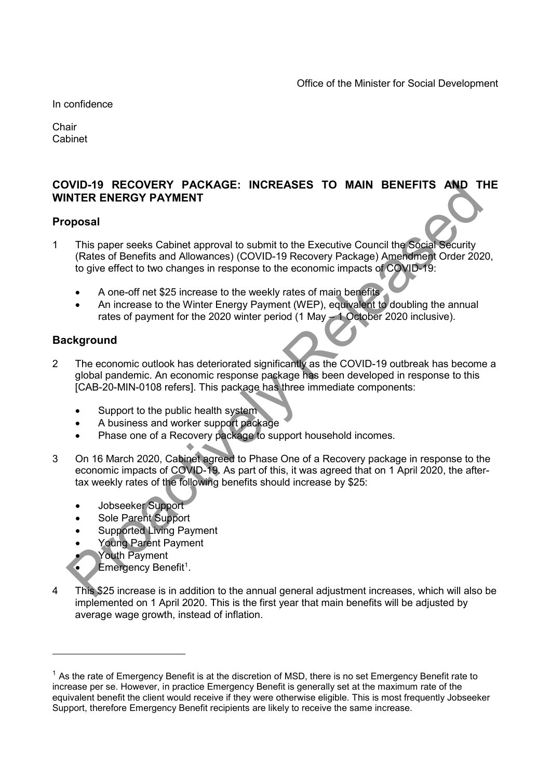In confidence

**Chair** Cabinet

## COVID-19 RECOVERY PACKAGE: INCREASES TO MAIN BENEFITS AND THE WINTER ENERGY PAYMENT

### Proposal

- 1 This paper seeks Cabinet approval to submit to the Executive Council the Social Security (Rates of Benefits and Allowances) (COVID-19 Recovery Package) Amendment Order 2020, to give effect to two changes in response to the economic impacts of COVID-19: VID-19 RECOVERY PACKAGE: INCREASES TO MAIN BENEFITS AND T<br>
This paper seeks Cabinet approval to submit to the Executive Council the Social Security<br>
(Rates of Benefits and Allowances) (COVID-19 Recovery Package) Ameroment
	- A one-off net \$25 increase to the weekly rates of main benefits
	- An increase to the Winter Energy Payment (WEP), equivalent to doubling the annual rates of payment for the 2020 winter period (1 May – 1 October 2020 inclusive).

### **Background**

- 2 The economic outlook has deteriorated significantly as the COVID-19 outbreak has become a global pandemic. An economic response package has been developed in response to this [CAB-20-MIN-0108 refers]. This package has three immediate components:
	- Support to the public health system
	- A business and worker support package
	- Phase one of a Recovery package to support household incomes.
- 3 On 16 March 2020, Cabinet agreed to Phase One of a Recovery package in response to the economic impacts of COVID-19. As part of this, it was agreed that on 1 April 2020, the aftertax weekly rates of the following benefits should increase by \$25:
	- Jobseeker Support
	- Sole Parent Support
	- Supported Living Payment
	- Young Parent Payment
	- Youth Payment

-

- Emergency Benefit<sup>1</sup>.
- 4 This \$25 increase is in addition to the annual general adjustment increases, which will also be implemented on 1 April 2020. This is the first year that main benefits will be adjusted by average wage growth, instead of inflation.

 $<sup>1</sup>$  As the rate of Emergency Benefit is at the discretion of MSD, there is no set Emergency Benefit rate to</sup> increase per se. However, in practice Emergency Benefit is generally set at the maximum rate of the equivalent benefit the client would receive if they were otherwise eligible. This is most frequently Jobseeker Support, therefore Emergency Benefit recipients are likely to receive the same increase.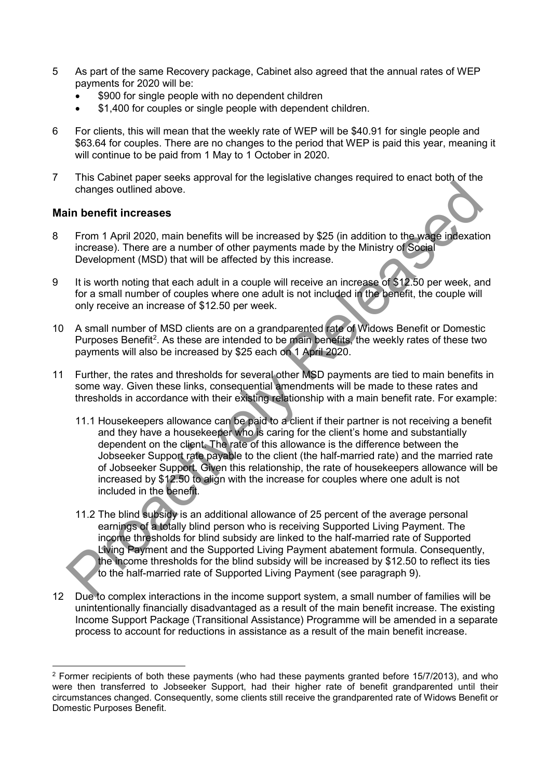- 5 As part of the same Recovery package, Cabinet also agreed that the annual rates of WEP payments for 2020 will be:
	- \$900 for single people with no dependent children
	- \$1,400 for couples or single people with dependent children.
- 6 For clients, this will mean that the weekly rate of WEP will be \$40.91 for single people and \$63.64 for couples. There are no changes to the period that WEP is paid this year, meaning it will continue to be paid from 1 May to 1 October in 2020.
- 7 This Cabinet paper seeks approval for the legislative changes required to enact both of the changes outlined above.

### Main benefit increases

- 8 From 1 April 2020, main benefits will be increased by \$25 (in addition to the wage indexation increase). There are a number of other payments made by the Ministry of Social Development (MSD) that will be affected by this increase.
- 9 It is worth noting that each adult in a couple will receive an increase of \$12.50 per week, and for a small number of couples where one adult is not included in the benefit, the couple will only receive an increase of \$12.50 per week.
- 10 A small number of MSD clients are on a grandparented rate of Widows Benefit or Domestic Purposes Benefit<sup>2</sup>. As these are intended to be main benefits, the weekly rates of these two payments will also be increased by \$25 each on 1 April 2020.
- 11 Further, the rates and thresholds for several other MSD payments are tied to main benefits in some way. Given these links, consequential amendments will be made to these rates and thresholds in accordance with their existing relationship with a main benefit rate. For example:
- 11.1 Housekeepers allowance can be paid to a client if their partner is not receiving a benefit and they have a housekeeper who is caring for the client's home and substantially dependent on the client. The rate of this allowance is the difference between the Jobseeker Support rate payable to the client (the half-married rate) and the married rate of Jobseeker Support. Given this relationship, the rate of housekeepers allowance will be increased by \$12.50 to align with the increase for couples where one adult is not included in the benefit. changes outlined above.<br>
Trom 1 April 2020, main benefits will be increased by \$25 (in addition to the wage indexation<br>
in benefit increases). There are a number of other payments made by the Ministry of Sogial<br>
Developme
	- 11.2 The blind subsidy is an additional allowance of 25 percent of the average personal earnings of a totally blind person who is receiving Supported Living Payment. The income thresholds for blind subsidy are linked to the half-married rate of Supported Living Payment and the Supported Living Payment abatement formula. Consequently, the income thresholds for the blind subsidy will be increased by \$12.50 to reflect its ties to the half-married rate of Supported Living Payment (see paragraph 9).
- 12 Due to complex interactions in the income support system, a small number of families will be unintentionally financially disadvantaged as a result of the main benefit increase. The existing Income Support Package (Transitional Assistance) Programme will be amended in a separate process to account for reductions in assistance as a result of the main benefit increase.

<sup>-</sup><sup>2</sup> Former recipients of both these payments (who had these payments granted before 15/7/2013), and who were then transferred to Jobseeker Support, had their higher rate of benefit grandparented until their circumstances changed. Consequently, some clients still receive the grandparented rate of Widows Benefit or Domestic Purposes Benefit.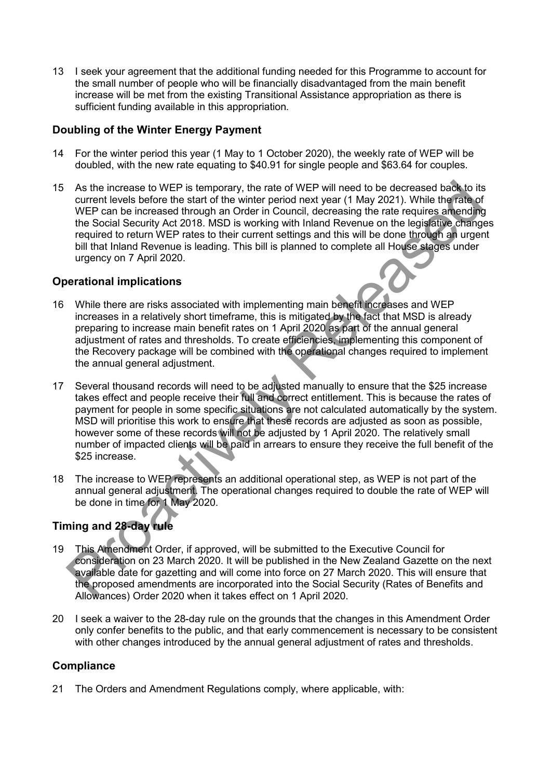13 I seek your agreement that the additional funding needed for this Programme to account for the small number of people who will be financially disadvantaged from the main benefit increase will be met from the existing Transitional Assistance appropriation as there is sufficient funding available in this appropriation.

## Doubling of the Winter Energy Payment

- 14 For the winter period this year (1 May to 1 October 2020), the weekly rate of WEP will be doubled, with the new rate equating to \$40.91 for single people and \$63.64 for couples.
- 15 As the increase to WEP is temporary, the rate of WEP will need to be decreased back to its current levels before the start of the winter period next year (1 May 2021). While the rate of WEP can be increased through an Order in Council, decreasing the rate requires amending the Social Security Act 2018. MSD is working with Inland Revenue on the legislative changes required to return WEP rates to their current settings and this will be done through an urgent bill that Inland Revenue is leading. This bill is planned to complete all House stages under urgency on 7 April 2020.

## Operational implications

- 16 While there are risks associated with implementing main benefit increases and WEP increases in a relatively short timeframe, this is mitigated by the fact that MSD is already preparing to increase main benefit rates on 1 April 2020 as part of the annual general adjustment of rates and thresholds. To create efficiencies, implementing this component of the Recovery package will be combined with the operational changes required to implement the annual general adjustment.
- 17 Several thousand records will need to be adjusted manually to ensure that the \$25 increase takes effect and people receive their full and correct entitlement. This is because the rates of payment for people in some specific situations are not calculated automatically by the system. MSD will prioritise this work to ensure that these records are adjusted as soon as possible, however some of these records will not be adjusted by 1 April 2020. The relatively small number of impacted clients will be paid in arrears to ensure they receive the full benefit of the \$25 increase. As the increase to WEP is temporary, the rate of WEP will need to be decreased back to itsellate<br>a current levels before the start of the winter period next year (1 May 2021). While the fraction<br>WEP can be increased throu
- 18 The increase to WEP represents an additional operational step, as WEP is not part of the annual general adjustment. The operational changes required to double the rate of WEP will be done in time for 1 May 2020.

# Timing and 28-day rule

- 19 This Amendment Order, if approved, will be submitted to the Executive Council for consideration on 23 March 2020. It will be published in the New Zealand Gazette on the next available date for gazetting and will come into force on 27 March 2020. This will ensure that the proposed amendments are incorporated into the Social Security (Rates of Benefits and Allowances) Order 2020 when it takes effect on 1 April 2020.
- 20 I seek a waiver to the 28-day rule on the grounds that the changes in this Amendment Order only confer benefits to the public, and that early commencement is necessary to be consistent with other changes introduced by the annual general adjustment of rates and thresholds.

# **Compliance**

21 The Orders and Amendment Regulations comply, where applicable, with: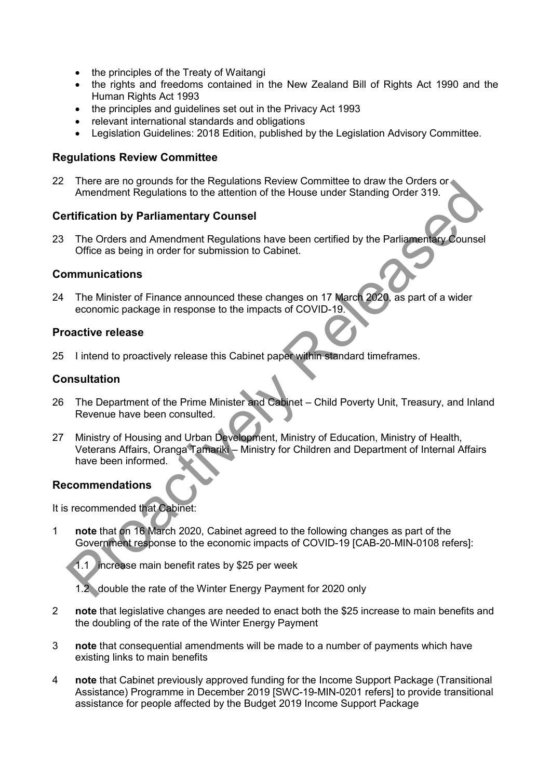- the principles of the Treaty of Waitangi
- the rights and freedoms contained in the New Zealand Bill of Rights Act 1990 and the Human Rights Act 1993
- the principles and guidelines set out in the Privacy Act 1993
- relevant international standards and obligations
- Legislation Guidelines: 2018 Edition, published by the Legislation Advisory Committee.

### Regulations Review Committee

22 There are no grounds for the Regulations Review Committee to draw the Orders or Amendment Regulations to the attention of the House under Standing Order 319.

## Certification by Parliamentary Counsel

23 The Orders and Amendment Regulations have been certified by the Parliamentary Counsel Office as being in order for submission to Cabinet.

### Communications

24 The Minister of Finance announced these changes on 17 March 2020, as part of a wider economic package in response to the impacts of COVID-19.

### Proactive release

25 I intend to proactively release this Cabinet paper within standard timeframes.

## **Consultation**

- 26 The Department of the Prime Minister and Cabinet Child Poverty Unit, Treasury, and Inland Revenue have been consulted.
- 27 Ministry of Housing and Urban Development, Ministry of Education, Ministry of Health, Veterans Affairs, Oranga Tamariki – Ministry for Children and Department of Internal Affairs have been informed. There are no goultries of the regulations the velocity of House under Standing Order 319.<br>
Amendment Regulations to the attention of the House under Standing Order 319.<br>
Trification by Parliamentary Counsel<br>
The Orders and

#### Recommendations

It is recommended that Cabinet:

1 note that on 16 March 2020, Cabinet agreed to the following changes as part of the Government response to the economic impacts of COVID-19 [CAB-20-MIN-0108 refers]:

1.1 increase main benefit rates by \$25 per week

1.2 double the rate of the Winter Energy Payment for 2020 only

- 2 note that legislative changes are needed to enact both the \$25 increase to main benefits and the doubling of the rate of the Winter Energy Payment
- 3 note that consequential amendments will be made to a number of payments which have existing links to main benefits
- 4 **note** that Cabinet previously approved funding for the Income Support Package (Transitional Assistance) Programme in December 2019 [SWC-19-MIN-0201 refers] to provide transitional assistance for people affected by the Budget 2019 Income Support Package